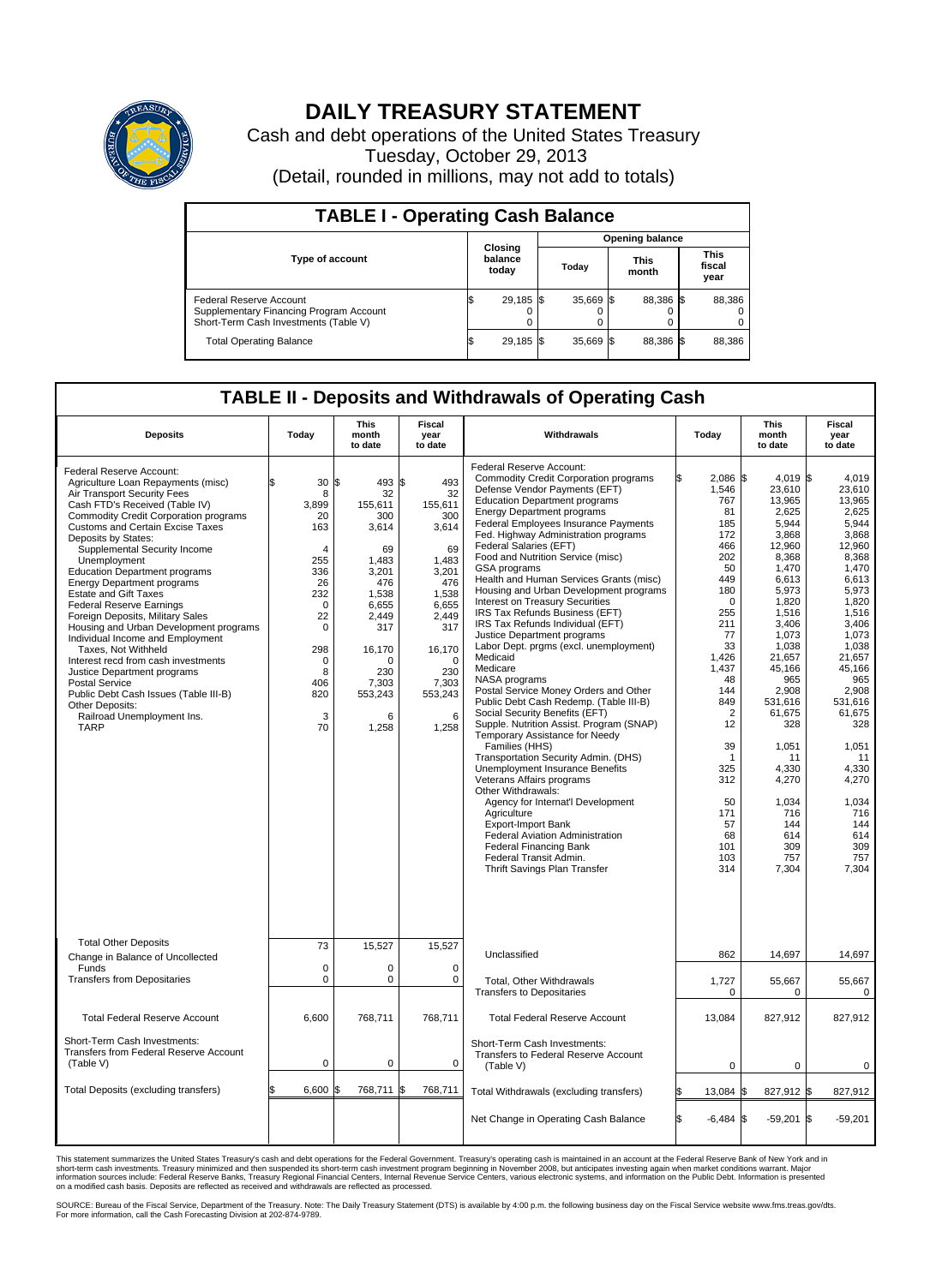

## **DAILY TREASURY STATEMENT**

Cash and debt operations of the United States Treasury Tuesday, October 29, 2013 (Detail, rounded in millions, may not add to totals)

| <b>TABLE I - Operating Cash Balance</b>                                                                     |  |                             |  |           |  |                      |  |                               |  |  |  |
|-------------------------------------------------------------------------------------------------------------|--|-----------------------------|--|-----------|--|----------------------|--|-------------------------------|--|--|--|
| <b>Opening balance</b>                                                                                      |  |                             |  |           |  |                      |  |                               |  |  |  |
| <b>Type of account</b>                                                                                      |  | Closing<br>balance<br>today |  | Today     |  | <b>This</b><br>month |  | <b>This</b><br>fiscal<br>year |  |  |  |
| Federal Reserve Account<br>Supplementary Financing Program Account<br>Short-Term Cash Investments (Table V) |  | 29,185 \$                   |  | 35,669 \$ |  | 88,386 \$            |  | 88,386                        |  |  |  |
| <b>Total Operating Balance</b>                                                                              |  | 29,185 \$                   |  | 35,669 \$ |  | 88.386 \$            |  | 88,386                        |  |  |  |

## **TABLE II - Deposits and Withdrawals of Operating Cash**

| <b>Deposits</b>                                                                                                                                                                                                                                                                                                                                                                                                                                                                                                                                                                                                                                                                                                                                                                                    | Today                                                                                                                                                                     | This<br>month<br>to date                                                                                                                                                      | Fiscal<br>year<br>to date                                                                                                                                            | Withdrawals                                                                                                                                                                                                                                                                                                                                                                                                                                                                                                                                                                                                                                                                                                                                                                                                                                                                                                                                                                                                                                                                                                                                                                                                                             | Today                                                                                                                                                                                                                                                                           | <b>This</b><br>month<br>to date                                                                                                                                                                                                                                                                          | Fiscal<br>year<br>to date                                                                                                                                                                                                                                                                             |
|----------------------------------------------------------------------------------------------------------------------------------------------------------------------------------------------------------------------------------------------------------------------------------------------------------------------------------------------------------------------------------------------------------------------------------------------------------------------------------------------------------------------------------------------------------------------------------------------------------------------------------------------------------------------------------------------------------------------------------------------------------------------------------------------------|---------------------------------------------------------------------------------------------------------------------------------------------------------------------------|-------------------------------------------------------------------------------------------------------------------------------------------------------------------------------|----------------------------------------------------------------------------------------------------------------------------------------------------------------------|-----------------------------------------------------------------------------------------------------------------------------------------------------------------------------------------------------------------------------------------------------------------------------------------------------------------------------------------------------------------------------------------------------------------------------------------------------------------------------------------------------------------------------------------------------------------------------------------------------------------------------------------------------------------------------------------------------------------------------------------------------------------------------------------------------------------------------------------------------------------------------------------------------------------------------------------------------------------------------------------------------------------------------------------------------------------------------------------------------------------------------------------------------------------------------------------------------------------------------------------|---------------------------------------------------------------------------------------------------------------------------------------------------------------------------------------------------------------------------------------------------------------------------------|----------------------------------------------------------------------------------------------------------------------------------------------------------------------------------------------------------------------------------------------------------------------------------------------------------|-------------------------------------------------------------------------------------------------------------------------------------------------------------------------------------------------------------------------------------------------------------------------------------------------------|
| Federal Reserve Account:<br>Agriculture Loan Repayments (misc)<br>Air Transport Security Fees<br>Cash FTD's Received (Table IV)<br><b>Commodity Credit Corporation programs</b><br><b>Customs and Certain Excise Taxes</b><br>Deposits by States:<br>Supplemental Security Income<br>Unemployment<br><b>Education Department programs</b><br><b>Energy Department programs</b><br><b>Estate and Gift Taxes</b><br><b>Federal Reserve Earnings</b><br>Foreign Deposits, Military Sales<br>Housing and Urban Development programs<br>Individual Income and Employment<br>Taxes, Not Withheld<br>Interest recd from cash investments<br>Justice Department programs<br><b>Postal Service</b><br>Public Debt Cash Issues (Table III-B)<br>Other Deposits:<br>Railroad Unemployment Ins.<br><b>TARP</b> | 30<br>\$.<br>8<br>3,899<br>20<br>163<br>$\overline{4}$<br>255<br>336<br>26<br>232<br>$\mathbf 0$<br>22<br>$\mathbf 0$<br>298<br>$\mathbf 0$<br>8<br>406<br>820<br>3<br>70 | \$<br>493 \$<br>32<br>155,611<br>300<br>3,614<br>69<br>1,483<br>3,201<br>476<br>1.538<br>6,655<br>2.449<br>317<br>16,170<br>$\Omega$<br>230<br>7,303<br>553,243<br>6<br>1,258 | 493<br>32<br>155,611<br>300<br>3,614<br>69<br>1,483<br>3,201<br>476<br>1.538<br>6,655<br>2,449<br>317<br>16,170<br>$\Omega$<br>230<br>7,303<br>553,243<br>6<br>1,258 | Federal Reserve Account:<br><b>Commodity Credit Corporation programs</b><br>Defense Vendor Payments (EFT)<br><b>Education Department programs</b><br><b>Energy Department programs</b><br><b>Federal Employees Insurance Payments</b><br>Fed. Highway Administration programs<br>Federal Salaries (EFT)<br>Food and Nutrition Service (misc)<br>GSA programs<br>Health and Human Services Grants (misc)<br>Housing and Urban Development programs<br>Interest on Treasury Securities<br>IRS Tax Refunds Business (EFT)<br>IRS Tax Refunds Individual (EFT)<br>Justice Department programs<br>Labor Dept. prgms (excl. unemployment)<br>Medicaid<br>Medicare<br>NASA programs<br>Postal Service Money Orders and Other<br>Public Debt Cash Redemp. (Table III-B)<br>Social Security Benefits (EFT)<br>Supple. Nutrition Assist. Program (SNAP)<br>Temporary Assistance for Needy<br>Families (HHS)<br>Transportation Security Admin. (DHS)<br>Unemployment Insurance Benefits<br>Veterans Affairs programs<br>Other Withdrawals:<br>Agency for Internat'l Development<br>Agriculture<br>Export-Import Bank<br>Federal Aviation Administration<br><b>Federal Financing Bank</b><br>Federal Transit Admin.<br>Thrift Savings Plan Transfer | \$<br>2.086 \$<br>1,546<br>767<br>81<br>185<br>172<br>466<br>202<br>50<br>449<br>180<br>$\mathbf 0$<br>255<br>211<br>77<br>33<br>1,426<br>1,437<br>48<br>144<br>849<br>$\overline{2}$<br>12<br>39<br>$\overline{1}$<br>325<br>312<br>50<br>171<br>57<br>68<br>101<br>103<br>314 | 4.019 \$<br>23,610<br>13,965<br>2,625<br>5.944<br>3,868<br>12,960<br>8,368<br>1.470<br>6,613<br>5,973<br>1.820<br>1,516<br>3,406<br>1.073<br>1,038<br>21,657<br>45,166<br>965<br>2,908<br>531.616<br>61,675<br>328<br>1,051<br>11<br>4,330<br>4,270<br>1,034<br>716<br>144<br>614<br>309<br>757<br>7,304 | 4.019<br>23,610<br>13,965<br>2,625<br>5.944<br>3,868<br>12,960<br>8,368<br>1,470<br>6,613<br>5,973<br>1,820<br>1,516<br>3,406<br>1,073<br>1,038<br>21,657<br>45.166<br>965<br>2,908<br>531.616<br>61,675<br>328<br>1,051<br>11<br>4,330<br>4,270<br>1,034<br>716<br>144<br>614<br>309<br>757<br>7.304 |
| <b>Total Other Deposits</b><br>Change in Balance of Uncollected                                                                                                                                                                                                                                                                                                                                                                                                                                                                                                                                                                                                                                                                                                                                    | 73                                                                                                                                                                        | 15,527                                                                                                                                                                        | 15,527                                                                                                                                                               | Unclassified                                                                                                                                                                                                                                                                                                                                                                                                                                                                                                                                                                                                                                                                                                                                                                                                                                                                                                                                                                                                                                                                                                                                                                                                                            | 862                                                                                                                                                                                                                                                                             | 14,697                                                                                                                                                                                                                                                                                                   | 14,697                                                                                                                                                                                                                                                                                                |
| Funds<br><b>Transfers from Depositaries</b>                                                                                                                                                                                                                                                                                                                                                                                                                                                                                                                                                                                                                                                                                                                                                        | $\mathbf 0$<br>$\mathbf 0$                                                                                                                                                | 0<br>0                                                                                                                                                                        | $\mathbf 0$<br>$\mathbf 0$                                                                                                                                           | Total, Other Withdrawals<br><b>Transfers to Depositaries</b>                                                                                                                                                                                                                                                                                                                                                                                                                                                                                                                                                                                                                                                                                                                                                                                                                                                                                                                                                                                                                                                                                                                                                                            | 1,727<br>0                                                                                                                                                                                                                                                                      | 55,667<br>$\Omega$                                                                                                                                                                                                                                                                                       | 55,667<br>0                                                                                                                                                                                                                                                                                           |
| <b>Total Federal Reserve Account</b>                                                                                                                                                                                                                                                                                                                                                                                                                                                                                                                                                                                                                                                                                                                                                               | 6.600                                                                                                                                                                     | 768.711                                                                                                                                                                       | 768.711                                                                                                                                                              | <b>Total Federal Reserve Account</b>                                                                                                                                                                                                                                                                                                                                                                                                                                                                                                                                                                                                                                                                                                                                                                                                                                                                                                                                                                                                                                                                                                                                                                                                    | 13.084                                                                                                                                                                                                                                                                          | 827,912                                                                                                                                                                                                                                                                                                  | 827,912                                                                                                                                                                                                                                                                                               |
| Short-Term Cash Investments:<br><b>Transfers from Federal Reserve Account</b><br>(Table V)                                                                                                                                                                                                                                                                                                                                                                                                                                                                                                                                                                                                                                                                                                         | $\mathbf 0$                                                                                                                                                               | 0                                                                                                                                                                             | $\mathbf 0$                                                                                                                                                          | Short-Term Cash Investments:<br>Transfers to Federal Reserve Account<br>(Table V)                                                                                                                                                                                                                                                                                                                                                                                                                                                                                                                                                                                                                                                                                                                                                                                                                                                                                                                                                                                                                                                                                                                                                       | 0                                                                                                                                                                                                                                                                               | $\mathbf 0$                                                                                                                                                                                                                                                                                              | 0                                                                                                                                                                                                                                                                                                     |
| Total Deposits (excluding transfers)                                                                                                                                                                                                                                                                                                                                                                                                                                                                                                                                                                                                                                                                                                                                                               | 6,600                                                                                                                                                                     | 768,711<br>\$                                                                                                                                                                 | 768,711<br>\$                                                                                                                                                        | Total Withdrawals (excluding transfers)                                                                                                                                                                                                                                                                                                                                                                                                                                                                                                                                                                                                                                                                                                                                                                                                                                                                                                                                                                                                                                                                                                                                                                                                 | 13,084                                                                                                                                                                                                                                                                          | 827,912 \$<br>l\$                                                                                                                                                                                                                                                                                        | 827,912                                                                                                                                                                                                                                                                                               |
|                                                                                                                                                                                                                                                                                                                                                                                                                                                                                                                                                                                                                                                                                                                                                                                                    |                                                                                                                                                                           |                                                                                                                                                                               |                                                                                                                                                                      | Net Change in Operating Cash Balance                                                                                                                                                                                                                                                                                                                                                                                                                                                                                                                                                                                                                                                                                                                                                                                                                                                                                                                                                                                                                                                                                                                                                                                                    | \$<br>$-6,484$ \$                                                                                                                                                                                                                                                               | $-59,201$ \$                                                                                                                                                                                                                                                                                             | $-59,201$                                                                                                                                                                                                                                                                                             |

This statement summarizes the United States Treasury's cash and debt operations for the Federal Government. Treasury's operating cash is maintained in an account at the Federal Reserve Bank of New York and in<br>informetion c

SOURCE: Bureau of the Fiscal Service, Department of the Treasury. Note: The Daily Treasury Statement (DTS) is available by 4:00 p.m. the following business day on the Fiscal Service website www.fms.treas.gov/dts.<br>For more